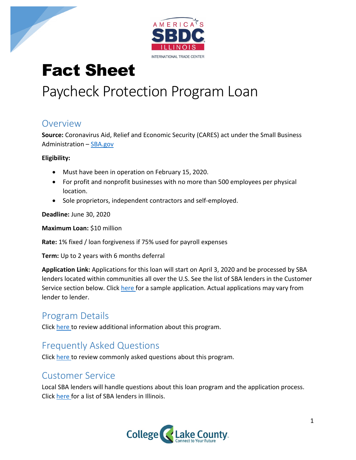

# Fact Sheet

## Paycheck Protection Program Loan

#### Overview

**Source:** Coronavirus Aid, Relief and Economic Security (CARES) act under the Small Business Administration – [SBA.gov](https://www.sba.gov/)

**Eligibility:**

- Must have been in operation on February 15, 2020.
- For profit and nonprofit businesses with no more than 500 employees per physical location.
- Sole proprietors, independent contractors and self-employed.

**Deadline:** June 30, 2020

**Maximum Loan:** \$10 million

**Rate:** 1% fixed / loan forgiveness if 75% used for payroll expenses

**Term:** Up to 2 years with 6 months deferral

**Application Link:** Applications for this loan will start on April 3, 2020 and be processed by SBA lenders located within communities all over the U.S. See the list of SBA lenders in the Customer Service section below. Click [here f](https://www.sba.gov/sites/default/files/2020-04/PPP%20Borrower%20Application%20Form.pdf)or a sample application. Actual applications may vary from lender to lender.

### Program Details

Click [here t](https://home.treasury.gov/system/files/136/PPP--Fact-Sheet.pdf)o review additional information about this program.

### Frequently Asked Questions

Click [here t](https://home.treasury.gov/system/files/136/PPP--Fact-Sheet.pdf)o review commonly asked questions about this program.

### Customer Service

Local SBA lenders will handle questions about this loan program and the application process. Click [here f](https://www.sba.gov/paycheckprotection/find)or a list of SBA lenders in Illinois.